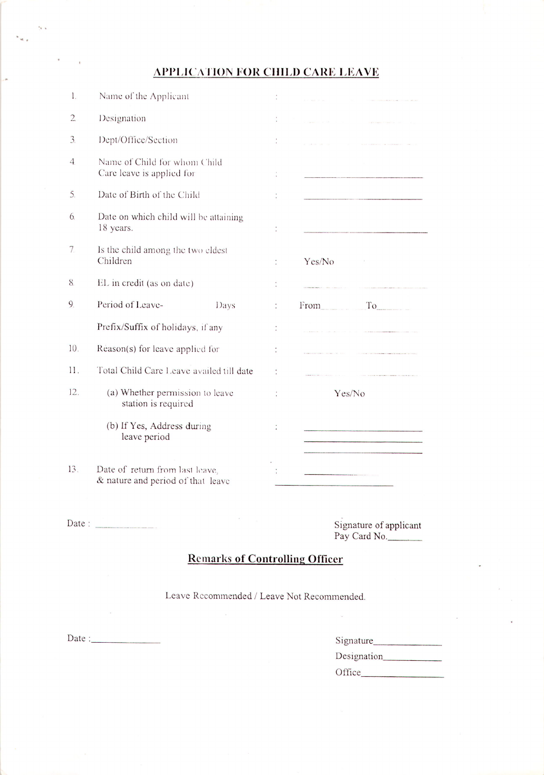## **APPLICATION FOR CHILD CARE LEAVE**

| 1.               | Name of the Applicant                                                |   |            |
|------------------|----------------------------------------------------------------------|---|------------|
| $\overline{2}$ . | Designation                                                          |   |            |
| $\overline{3}$   | Dept/Office/Section                                                  |   |            |
| $\overline{4}$   | Name of Child for whom Child<br>Care leave is applied for            |   |            |
| 5.               | Date of Birth of the Child                                           |   |            |
| 6.               | Date on which child will be attaining<br>18 years.                   |   |            |
| 7.               | Is the child among the two eldest<br>Children                        |   | Yes/No     |
| 8.               | EL in credit (as on date)                                            |   |            |
| 9.               | Period of Leave-<br>Days                                             | t | From<br>To |
|                  | Prefix/Suffix of holidays, if any                                    |   |            |
| 10.              | Reason(s) for leave applied for                                      |   |            |
| 11.              | Total Child Care Leave availed till date                             |   |            |
| 12.              | (a) Whether permission to leave<br>station is required               | t | Yes/No     |
|                  | (b) If Yes, Address during<br>leave period                           |   |            |
| 13.              | Date of return from last leave,<br>& nature and period of that leave |   |            |

Date:  $\frac{1}{2}$ 

Signature of applicant<br>Pay Card No.

## **Remarks of Controlling Officer**

Leave Recommended / Leave Not Recommended.

 $\text{Date}: \_\_$ 

| Signature   |  |
|-------------|--|
| Designation |  |
| Office      |  |